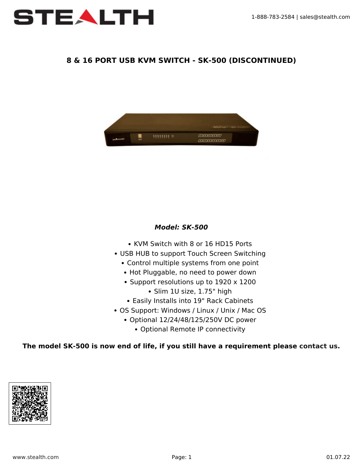

## **8 & 16 PORT USB KVM SWITCH - SK-500 (DISCONTINUED)**



### *Model: SK-500*

- KVM Switch with 8 or 16 HD15 Ports
- USB HUB to support Touch Screen Switching
	- Control multiple systems from one point
	- Hot Pluggable, no need to power down
	- Support resolutions up to 1920 x 1200
		- Slim 1U size, 1.75" high
	- Easily Installs into 19" Rack Cabinets
- OS Support: Windows / Linux / Unix / Mac OS
	- Optional 12/24/48/125/250V DC power
		- Optional Remote IP connectivity

#### **The model SK-500 is now end of life, if you still have a requirement please [contact us.](https://www.stealth.com/contact-us/)**

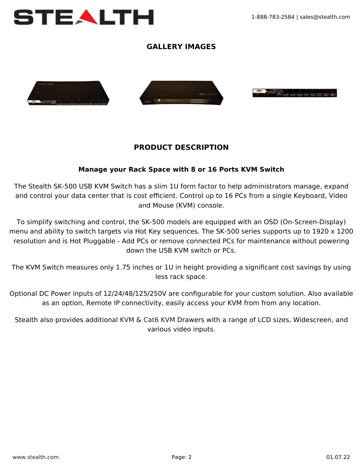

# **GALLERY IMAGES**



## **PRODUCT DESCRIPTION**

### **Manage your Rack Space with 8 or 16 Ports KVM Switch**

The Stealth SK-500 USB KVM Switch has a slim 1U form factor to help administrators manage, expand and control your data center that is cost efficient. Control up to 16 PCs from a single Keyboard, Video and Mouse (KVM) console.

To simplify switching and control, the SK-500 models are equipped with an OSD (On-Screen-Display) menu and ability to switch targets via Hot Key sequences. The SK-500 series supports up to 1920 x 1200 resolution and is Hot Pluggable - Add PCs or remove connected PCs for maintenance without powering down the USB KVM switch or PCs.

The KVM Switch measures only 1.75 inches or 1U in height providing a significant cost savings by using less rack space.

Optional DC Power inputs of 12/24/48/125/250V are configurable for your custom solution. Also available as an option, Remote IP connectivity, easily access your KVM from from any location.

Stealth also provides additional [KVM](https://www.stealth.com/ruggedlcds/flatracklcds/kvm-models-with-db-15-ports/) & [Cat6 KVM](https://www.stealth.com/ruggedlcds/flatracklcds/kvm-models-with-cat6-ports/) Drawers with a range of LCD sizes, Widescreen, and various video inputs.